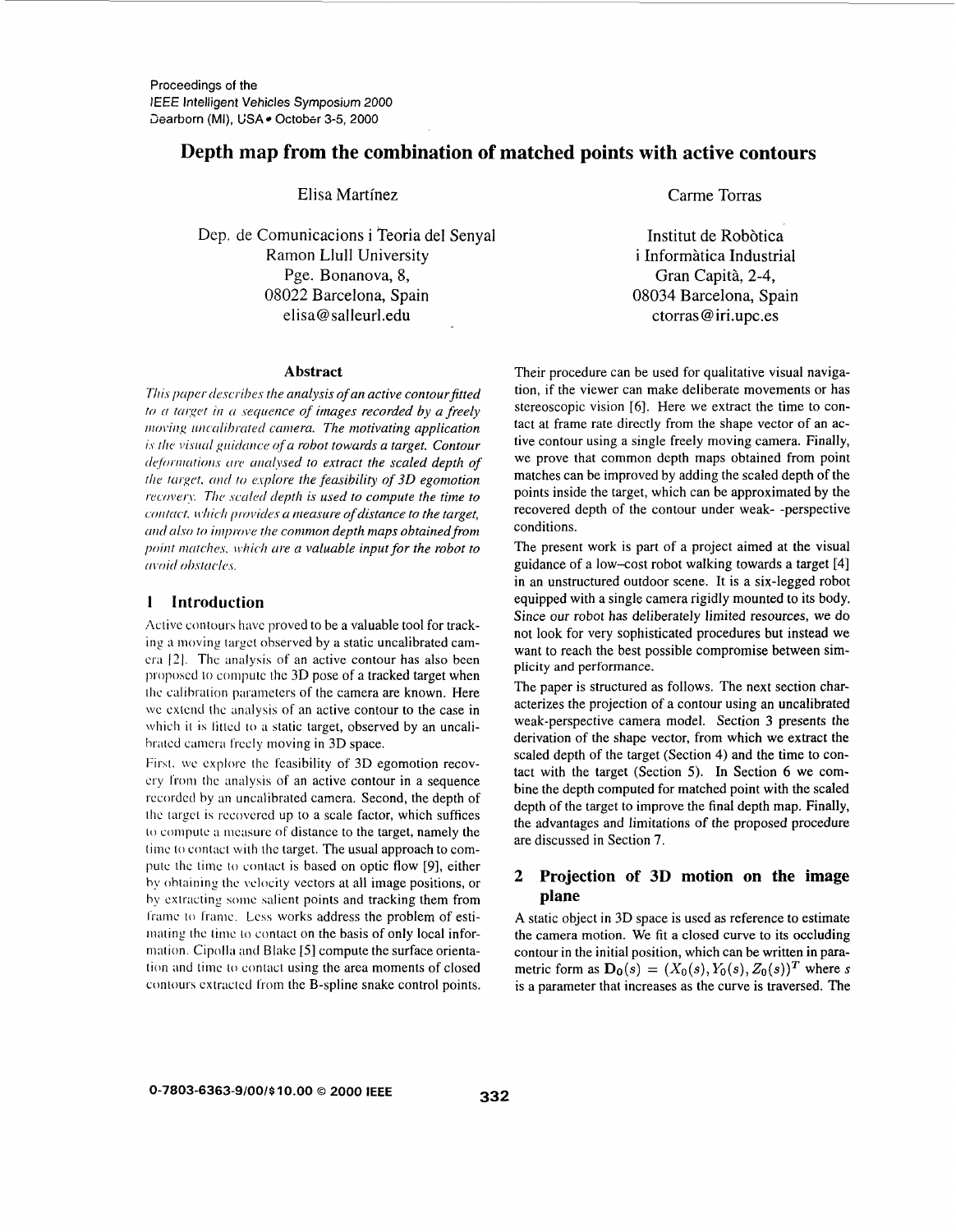# Depth map from the combination of matched points with active contours

Elisa Martínez

Dep. de Comunicacions i Teoria del Senval Ramon Llull University Pge. Bonanova, 8, 08022 Barcelona, Spain elisa@salleurl.edu

Carme Torras

Institut de Robòtica i Informàtica Industrial Gran Capità, 2-4, 08034 Barcelona, Spain ctorras@iri.upc.es

### **Abstract**

This paper describes the analysis of an active contour fitted to a target in a sequence of images recorded by a freely moving uncalibrated camera. The motivating application is the visual guidance of a robot towards a target. Contour deformations are analysed to extract the scaled depth of the target, and to explore the feasibility of 3D egomotion recovery. The scaled depth is used to compute the time to contact, which provides a measure of distance to the target. and also to improve the common depth maps obtained from point matches, which are a valuable input for the robot to avoid obstacles.

#### $\mathbf{1}$ Introduction

Active contours have proved to be a valuable tool for tracking a moving target observed by a static uncalibrated camera [2]. The analysis of an active contour has also been proposed to compute the 3D pose of a tracked target when the calibration parameters of the camera are known. Here we extend the analysis of an active contour to the case in which it is fitted to a static target, observed by an uncalibrated camera freely moving in 3D space.

First, we explore the feasibility of 3D egomotion recovery from the analysis of an active contour in a sequence recorded by an uncalibrated camera. Second, the depth of the target is recovered up to a scale factor, which suffices to compute a measure of distance to the target, namely the time to contact with the target. The usual approach to compute the time to contact is based on optic flow [9], either by obtaining the velocity vectors at all image positions, or by extracting some salient points and tracking them from frame to frame. Less works address the problem of estimating the time to contact on the basis of only local information. Cipolla and Blake [5] compute the surface orientation and time to contact using the area moments of closed contours extracted from the B-spline snake control points.

Their procedure can be used for qualitative visual navigation, if the viewer can make deliberate movements or has stereoscopic vision [6]. Here we extract the time to contact at frame rate directly from the shape vector of an active contour using a single freely moving camera. Finally, we prove that common depth maps obtained from point matches can be improved by adding the scaled depth of the points inside the target, which can be approximated by the recovered depth of the contour under weak--perspective conditions.

The present work is part of a project aimed at the visual guidance of a low-cost robot walking towards a target [4] in an unstructured outdoor scene. It is a six-legged robot equipped with a single camera rigidly mounted to its body. Since our robot has deliberately limited resources, we do not look for very sophisticated procedures but instead we want to reach the best possible compromise between simplicity and performance.

The paper is structured as follows. The next section characterizes the projection of a contour using an uncalibrated weak-perspective camera model. Section 3 presents the derivation of the shape vector, from which we extract the scaled depth of the target (Section 4) and the time to contact with the target (Section 5). In Section 6 we combine the depth computed for matched point with the scaled depth of the target to improve the final depth map. Finally, the advantages and limitations of the proposed procedure are discussed in Section 7.

## 2 Projection of 3D motion on the image plane

A static object in 3D space is used as reference to estimate the camera motion. We fit a closed curve to its occluding contour in the initial position, which can be written in parametric form as  $\mathbf{D_0}(s) = (X_0(s), Y_0(s), Z_0(s))^T$  where s is a parameter that increases as the curve is traversed. The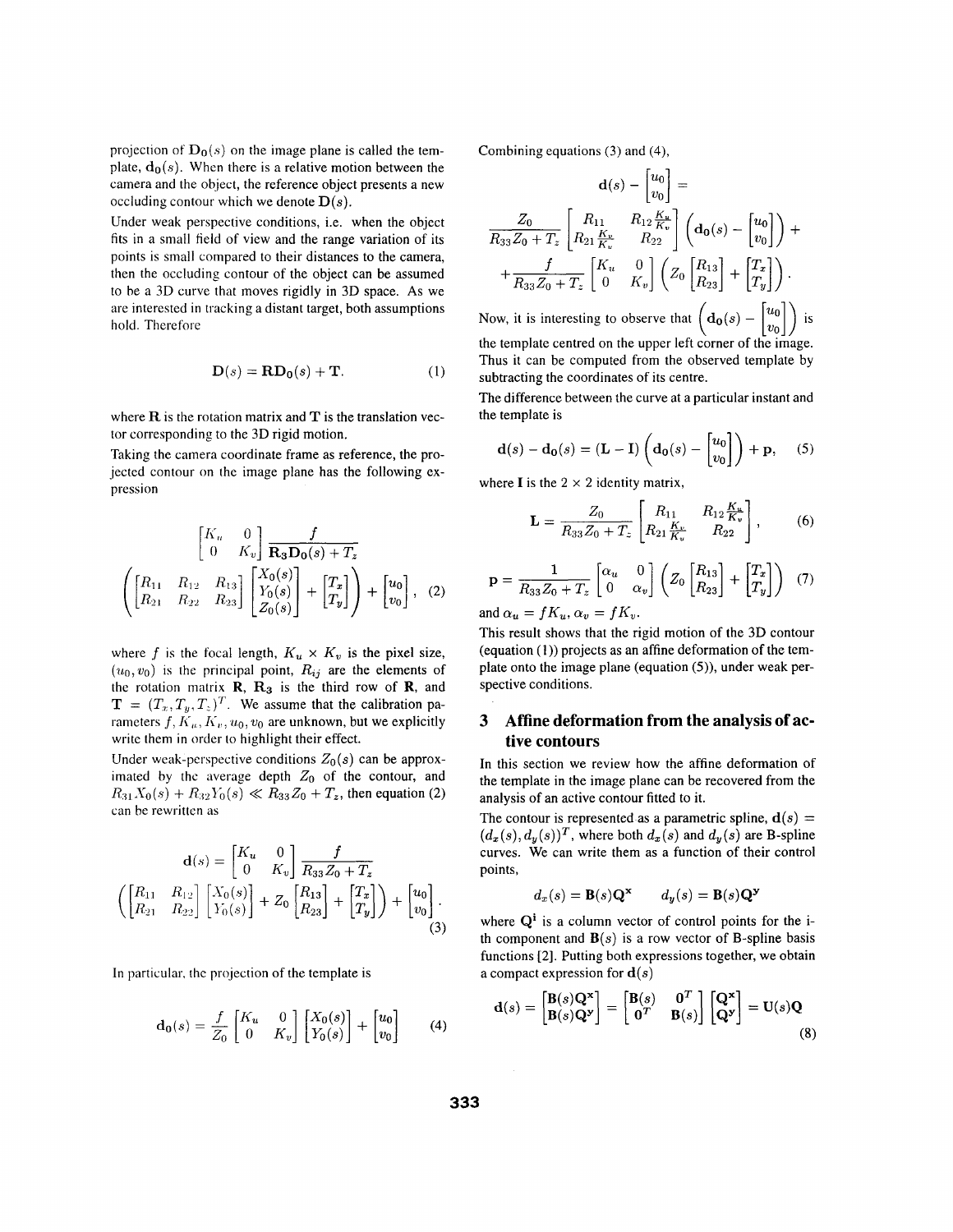projection of  $D_0(s)$  on the image plane is called the template,  $\mathbf{d}_{0}(s)$ . When there is a relative motion between the camera and the object, the reference object presents a new occluding contour which we denote  $\mathbf{D}(s)$ .

Under weak perspective conditions, i.e. when the object fits in a small field of view and the range variation of its points is small compared to their distances to the camera, then the occluding contour of the object can be assumed to be a 3D curve that moves rigidly in 3D space. **As** we are interested in tracking a distant target, both assumptions hold. Therefore

$$
\mathbf{D}(s) = \mathbf{R}\mathbf{D_0}(s) + \mathbf{T}.\tag{1}
$$

where R is the rotation matrix and **T** is the translation vector corresponding to the 3D rigid motion.

Taking the camera coordinate frame as reference, the projected contour on the image plane has the following expression

$$
\begin{bmatrix} K_u & 0 \ 0 & K_v \end{bmatrix} \frac{f}{\mathbf{R}_3 \mathbf{D}_0(s) + T_z}
$$

$$
\left( \begin{bmatrix} R_{11} & R_{12} & R_{13} \\ R_{21} & R_{22} & R_{23} \end{bmatrix} \begin{bmatrix} X_0(s) \\ Y_0(s) \\ Z_0(s) \end{bmatrix} + \begin{bmatrix} T_x \\ T_y \end{bmatrix} \right) + \begin{bmatrix} u_0 \\ v_0 \end{bmatrix}, \quad (2)
$$

where *f* is the focal length,  $K_u \times K_v$  is the pixel size,  $(u_0, v_0)$  is the principal point,  $R_{ij}$  are the elements of the rotation matrix  $R$ ,  $R_3$  is the third row of  $R$ , and  $\mathbf{T} = (T_x, T_y, T_z)^T$ . We assume that the calibration parameters  $f, K_u, K_v, u_0, v_0$  are unknown, but we explicitly write them in order to highlight their effect.

Under weak-perspective conditions  $Z_0(s)$  can be approximated by the average depth  $Z_0$  of the contour, and  $R_{31}X_0(s) + R_{32}Y_0(s) \ll R_{33}Z_0 + T_z$ , then equation (2) can be rewritten *as* 

$$
\mathbf{d}(s) = \begin{bmatrix} K_u & 0 \\ 0 & K_v \end{bmatrix} \frac{f}{R_{33}Z_0 + T_z}
$$
\n
$$
\left( \begin{bmatrix} R_{11} & R_{12} \\ R_{21} & R_{22} \end{bmatrix} \begin{bmatrix} X_0(s) \\ Y_0(s) \end{bmatrix} + Z_0 \begin{bmatrix} R_{13} \\ R_{23} \end{bmatrix} + \begin{bmatrix} T_x \\ T_y \end{bmatrix} \right) + \begin{bmatrix} u_0 \\ v_0 \end{bmatrix} . \tag{3}
$$

In particular, thc projection of the template is

$$
\mathbf{d_0}(s) = \frac{f}{Z_0} \begin{bmatrix} K_u & 0 \\ 0 & K_v \end{bmatrix} \begin{bmatrix} X_0(s) \\ Y_0(s) \end{bmatrix} + \begin{bmatrix} u_0 \\ v_0 \end{bmatrix}
$$
 (4)

Combining equations (3) and **(4),** 

$$
\mathbf{d}(s) - \begin{bmatrix} u_0 \\ v_0 \end{bmatrix} =
$$
  

$$
\frac{Z_0}{R_{33}Z_0 + T_z} \begin{bmatrix} R_{11} & R_{12} \frac{K_u}{K_v} \\ R_{21} \frac{K_v}{K_v} & R_{22} \end{bmatrix} \begin{bmatrix} \mathbf{d}_0(s) - \begin{bmatrix} u_0 \\ v_0 \end{bmatrix} \end{bmatrix} +
$$
  

$$
+ \frac{f}{R_{33}Z_0 + T_z} \begin{bmatrix} K_u & 0 \\ 0 & K_v \end{bmatrix} \begin{bmatrix} Z_0 \begin{bmatrix} R_{13} \\ R_{23} \end{bmatrix} + \begin{bmatrix} T_x \\ T_y \end{bmatrix} \end{bmatrix}.
$$

Now, it is interesting to observe that  $\left( \mathbf{d_0}(s) - \begin{bmatrix} u_0 \\ v_0 \end{bmatrix} \right)$  is the template centred on the upper left corner of the image. Thus it can be computed from the observed template by subtracting the coordinates of its centre.

The difference between the curve at a particular instant and the template is

$$
\mathbf{d}(s) - \mathbf{d_0}(s) = (\mathbf{L} - \mathbf{I}) \left( \mathbf{d_0}(s) - \begin{bmatrix} u_0 \\ v_0 \end{bmatrix} \right) + \mathbf{p}, \quad (5)
$$

where **I** is the  $2 \times 2$  identity matrix,

$$
\mathbf{L} = \frac{Z_0}{R_{33}Z_0 + T_z} \begin{bmatrix} R_{11} & R_{12} \frac{K_u}{K_v} \\ R_{21} \frac{K_v}{K_v} & R_{22} \end{bmatrix},
$$
 (6)

$$
\mathbf{p} = \frac{1}{R_{33}Z_0 + T_z} \begin{bmatrix} \alpha_u & 0\\ 0 & \alpha_v \end{bmatrix} \left( Z_0 \begin{bmatrix} R_{13} \\ R_{23} \end{bmatrix} + \begin{bmatrix} T_x \\ T_y \end{bmatrix} \right) \tag{7}
$$

and  $\alpha_u = fK_u$ ,  $\alpha_v = fK_v$ .

This result shows that the rigid motion of the 3D contour (equation **(1))** projects as an affine deformation of the template onto the image plane (equation *(5)),* under weak perspective conditions.

## **3 Affine deformation from the analysis of active contours**

In this section we review how the affine deformation of the template in the image plane can be recovered from the analysis of an active contour fitted to it.

The contour is represented as a parametric spline,  $\mathbf{d}(s)$  =  $(d_x(s), d_y(s))^T$ , where both  $d_x(s)$  and  $d_y(s)$  are B-spline curves. We can write them as a function of their control points,

$$
d_x(s) = \mathbf{B}(s)\mathbf{Q}^{\mathbf{x}} \qquad d_y(s) = \mathbf{B}(s)\mathbf{Q}^{\mathbf{y}}
$$

where  $Q^i$  is a column vector of control points for the ith component and  $\mathbf{B}(s)$  is a row vector of B-spline basis functions [2]. Putting both expressions together, we obtain a compact expression for  $\mathbf{d}(s)$ 

$$
\mathbf{d}(s) = \begin{bmatrix} \mathbf{B}(s)\mathbf{Q}^{\mathbf{x}} \\ \mathbf{B}(s)\mathbf{Q}^{\mathbf{y}} \end{bmatrix} = \begin{bmatrix} \mathbf{B}(s) & \mathbf{0}^T \\ \mathbf{0}^T & \mathbf{B}(s) \end{bmatrix} \begin{bmatrix} \mathbf{Q}^{\mathbf{x}} \\ \mathbf{Q}^{\mathbf{y}} \end{bmatrix} = \mathbf{U}(s)\mathbf{Q}
$$
(8)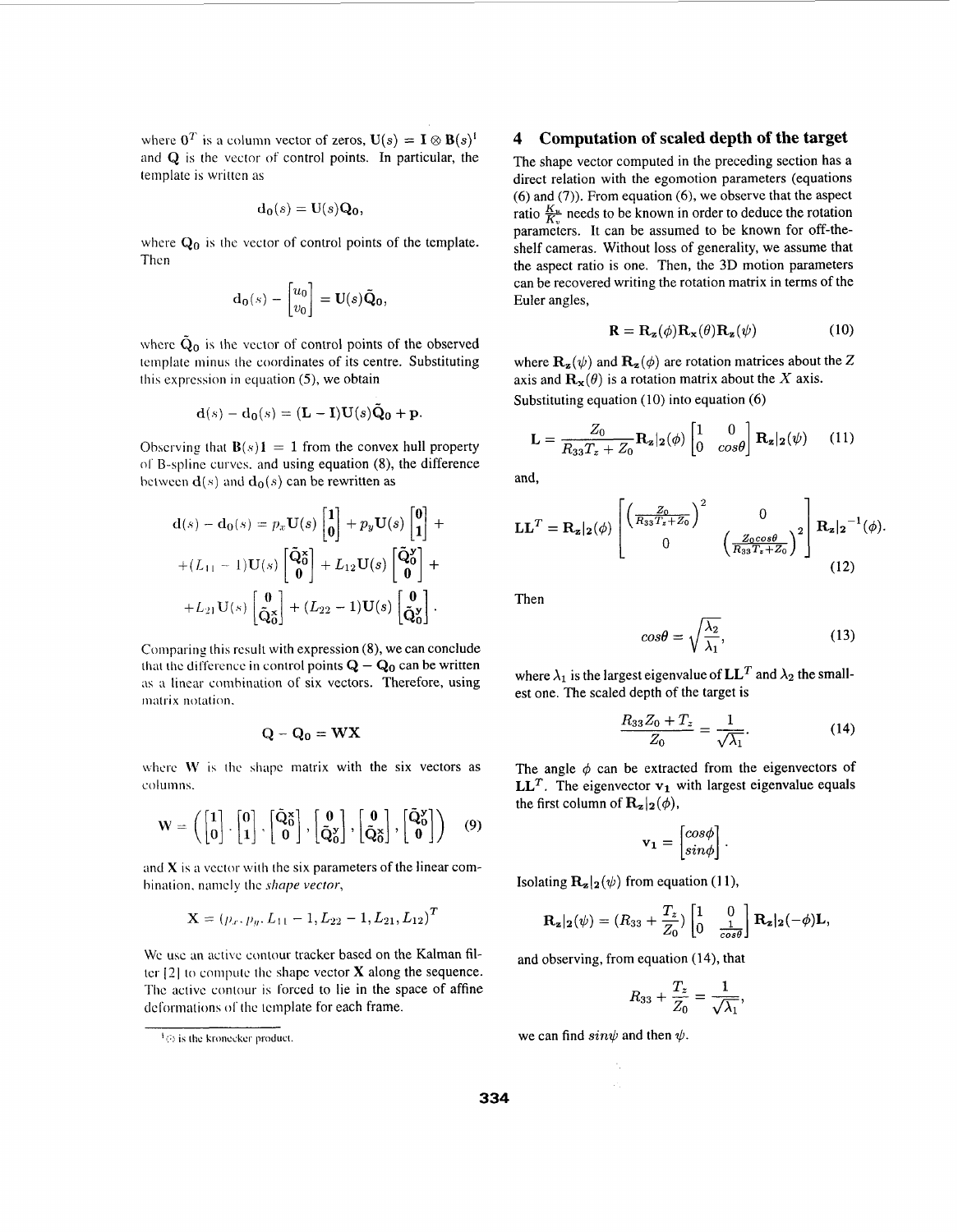where  $\mathbf{0}^T$  is a column vector of zeros,  $\mathbf{U}(s) = \mathbf{I} \otimes \mathbf{B}(s)^{\dagger}$ and Q is the vector of control points. In particular, the template is written *as* 

$$
\mathbf{d_0}(s) = \mathbf{U}(s)\mathbf{Q_0},
$$

where  $Q_0$  is the vector of control points of the template. Then

$$
\mathbf{d}_{\mathbf{0}}(s) - \begin{bmatrix} u_0 \\ v_0 \end{bmatrix} = \mathbf{U}(s)\tilde{\mathbf{Q}}_{\mathbf{0}},
$$

where  $\tilde{Q}_0$  is the vector of control points of the observed tcmplate minus the coordinates of its centre. Substituting this expression in equation *(5),* we obtain

$$
\mathbf{d}(s) - \mathbf{d_0}(s) = (\mathbf{L} - \mathbf{I})\mathbf{U}(s)\tilde{\mathbf{Q}}_0 + \mathbf{p}.
$$

Observing that  $\mathbf{B}(s) \mathbf{1} = 1$  from the convex hull property  $0<sub>1</sub>$  B-spline curves, and using equation (8), the difference between  $\mathbf{d}(s)$  and  $\mathbf{d}_{0}(s)$  can be rewritten as

$$
\mathbf{d}(s) - \mathbf{d}_0(s) = p_x \mathbf{U}(s) \begin{bmatrix} 1 \\ 0 \end{bmatrix} + p_y \mathbf{U}(s) \begin{bmatrix} 0 \\ 1 \end{bmatrix} ++ (L_{11} - 1) \mathbf{U}(s) \begin{bmatrix} \tilde{\mathbf{Q}}_0^{\mathbf{x}} \\ 0 \end{bmatrix} + L_{12} \mathbf{U}(s) \begin{bmatrix} \tilde{\mathbf{Q}}_0^{\mathbf{x}} \\ 0 \end{bmatrix} ++ L_{21} \mathbf{U}(s) \begin{bmatrix} 0 \\ \tilde{\mathbf{Q}}_0^{\mathbf{x}} \end{bmatrix} + (L_{22} - 1) \mathbf{U}(s) \begin{bmatrix} 0 \\ \tilde{\mathbf{Q}}_0^{\mathbf{y}} \end{bmatrix}.
$$

Comparing this rcsult with expression (8), we can conclude that the difference in control points  $Q - Q_0$  can be written **as** a linear comhination of six vectors. Therefore, using matrix notation.

$$
\mathbf{Q} - \mathbf{Q_0} = \mathbf{W} \mathbf{X}
$$

where  $W$  is the shape matrix with the six vectors as columns.

$$
\mathbf{W} = \left( \begin{bmatrix} 1 \\ 0 \end{bmatrix}, \begin{bmatrix} 0 \\ 1 \end{bmatrix}, \begin{bmatrix} \tilde{\mathbf{Q}}_0^{\mathbf{x}} \\ 0 \end{bmatrix}, \begin{bmatrix} \mathbf{0} \\ \tilde{\mathbf{Q}}_0^{\mathbf{y}} \end{bmatrix}, \begin{bmatrix} \mathbf{0} \\ \tilde{\mathbf{Q}}_0^{\mathbf{x}} \end{bmatrix}, \begin{bmatrix} \tilde{\mathbf{Q}}_0^{\mathbf{y}} \\ 0 \end{bmatrix} \right) \quad (9)
$$

and **X** is a vector with the six parameters of the linear comhination. namely thc *shape vecfor,* 

$$
\mathbf{X} = (p_x, p_y, L_{11} - 1, L_{22} - 1, L_{21}, L_{12})^T
$$

Wc use **an** active contour tracker based on the Kalman filter  $[2]$  to compute the shape vector  $\bf{X}$  along the sequence. The active contour is forced to lie in the space of affine deformations of the template for each frame.

#### **4 Computation of scaled depth of the target**

The shape vector computed in the preceding section has a direct relation with the egomotion parameters (equations (6) and (7)). From equation (6), we observe that the aspect ratio  $\frac{K_u}{K_v}$  needs to be known in order to deduce the rotation parameters. It can be assumed to be known for off-theshelf cameras. Without loss of generality, we assume that the aspect ratio is one. Then, the 3D motion parameters can be recovered writing the rotation matrix in terms of the Euler angles,

$$
\mathbf{R} = \mathbf{R}_{\mathbf{z}}(\phi) \mathbf{R}_{\mathbf{x}}(\theta) \mathbf{R}_{\mathbf{z}}(\psi) \tag{10}
$$

where  $\mathbf{R}_{z}(\psi)$  and  $\mathbf{R}_{z}(\phi)$  are rotation matrices about the Z axis and  $\mathbf{R}_{\mathbf{x}}(\theta)$  is a rotation matrix about the X axis. Substituting equation (10) into equation *(6)* 

$$
\mathbf{L} = \frac{Z_0}{R_{33}T_z + Z_0} \mathbf{R_z} | \mathbf{z}(\phi) \begin{bmatrix} 1 & 0 \\ 0 & cos\theta \end{bmatrix} \mathbf{R_z} | \mathbf{z}(\psi) \quad (11)
$$

and,

$$
\mathbf{LL}^T = \mathbf{R_z}|\mathbf{z}(\phi)\begin{bmatrix} \left(\frac{Z_0}{R_{33}T_z + Z_0}\right)^2 & 0\\ 0 & \left(\frac{Z_0\cos\theta}{R_{33}T_z + Z_0}\right)^2 \end{bmatrix} \mathbf{R_z}|\mathbf{z}^{-1}(\phi)
$$
\n(12)

Then

$$
cos\theta = \sqrt{\frac{\lambda_2}{\lambda_1}},
$$
\n(13)

where  $\lambda_1$  is the largest eigenvalue of  $LL^T$  and  $\lambda_2$  the smallest one. The scaled depth of the target is

$$
\frac{R_{33}Z_0 + T_z}{Z_0} = \frac{1}{\sqrt{\lambda_1}}.\tag{14}
$$

The angle  $\phi$  can be extracted from the eigenvectors of **LL<sup>T</sup>**. The eigenvector  $v_1$  with largest eigenvalue equals the first column of  $\mathbf{R}_{z}|_{2}(\phi)$ ,

$$
\mathbf{v_1} = \begin{bmatrix} cos \phi \\ sin \phi \end{bmatrix}.
$$

Isolating  $\mathbf{R}_{z}|_{2}(\psi)$  from equation (11),

$$
\mathbf{R}_{\mathbf{z}}|_{\mathbf{2}}(\psi)=(R_{33}+\frac{T_{z}}{Z_{0}})\begin{bmatrix}1 & 0\\ 0 & \frac{1}{cos\theta}\end{bmatrix}\mathbf{R}_{\mathbf{z}}|_{\mathbf{2}}(-\phi)\mathbf{L},
$$

and observing, from equation (14), that

$$
a_{33} + \frac{1}{Z_0} \int \left[ 0 \frac{1}{\cos \theta} \right] \frac{1}{z_2} \, dz
$$
\nn equation (14), that

\n
$$
R_{33} + \frac{T_z}{Z_0} = \frac{1}{\sqrt{\lambda_1}},
$$

we can find  $sin \psi$  and then  $\psi$ .

 $\frac{1}{2}$ (b) is the kronecker product.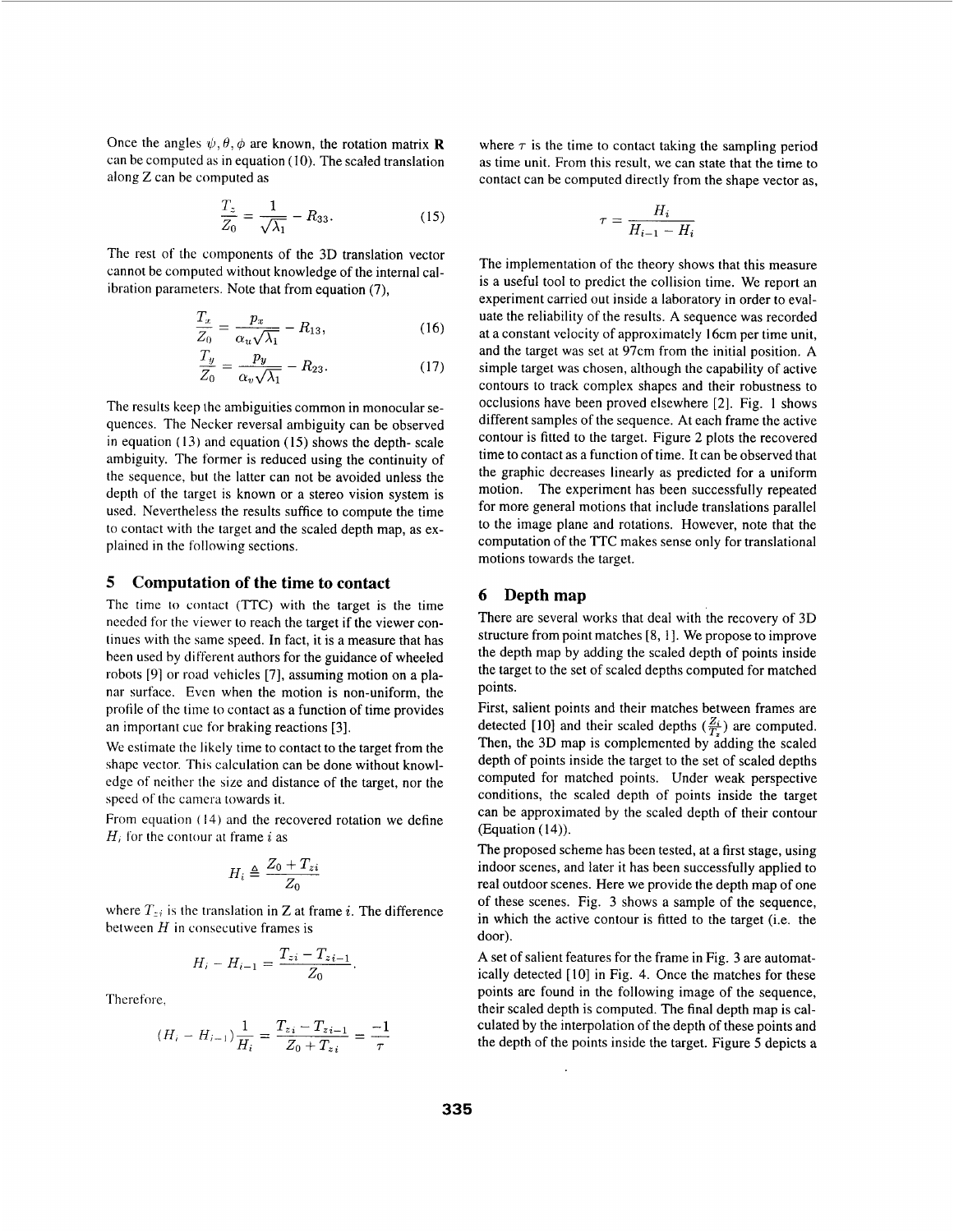Once the angles  $\psi$ ,  $\theta$ ,  $\phi$  are known, the rotation matrix **R** can be computed as in equation (IO). The scaled translation along Z can be computed as

$$
\frac{T_z}{Z_0} = \frac{1}{\sqrt{\lambda_1}} - R_{33}.
$$
 (15)

The rest of the components of the 3D translation vector cannot be computed without knowledge of the internal cal-

ibration parameters. Note that from equation (7),  
\n
$$
\frac{T_x}{Z_0} = \frac{p_x}{\alpha_u \sqrt{\lambda_1}} - R_{13},
$$
\n(16)  
\n
$$
\frac{T_y}{Z_0} = \frac{p_y}{\alpha_u \sqrt{\lambda_1}} - R_{23}.
$$
\n(17)

$$
\frac{T_y}{Z_0} = \frac{p_y}{\alpha_v \sqrt{\lambda_1}} - R_{23}.
$$
\n(17)

The results keep the ambiguities common in monocular sequences. The Necker reversal ambiguity can be observed in equation ( **13)** and equation (15) shows the depth- scale ambiguity. The former is reduced using the continuity of the sequence, but the latter can not **be** avoided unless the depth of the target is known or a stereo vision system is used. Nevertheless the results suffice to compute the time to contact with the target and the scaled depth map, as explained in the following sections.

#### *5* **Computation of the time to contact**

The time **io** contact (TTC) with the target is the time needed for the viewer to reach the target if the viewer continues with the same speed. In fact, it is a measure that has been used by different authors for the guidance of wheeled robots **[91** or road vehicles [7], assuming motion on a planar surface. Even when the motion is non-uniform, the profile of thc time to contact as a function of time provides an important cue for braking reactions [3].

We estimate the likely time to contact to the target from the shape vector. This calculation can be done without knowledge of neither the size and distance of the target, nor the speed of the camera towards it.

From equation (14) and the recovered rotation we define  $H_i$  for the contour at frame  $i$  as

$$
H_i \triangleq \frac{Z_0 + T_{zi}}{Z_0}
$$

where  $T_{zi}$  is the translation in Z at frame *i*. The difference between  $H$  in consecutive frames is

$$
H_i - H_{i-1} = \frac{T_{zi} - T_{zi-1}}{Z_0}
$$

Therefore.

$$
(H_i - H_{i-1})\frac{1}{H_i} = \frac{T_{zi} - T_{zi-1}}{Z_0 + T_{zi}} = \frac{-1}{\tau}
$$

where  $\tau$  is the time to contact taking the sampling period as time unit. From this result, we can state that the time to contact can be computed directly from the shape vector as,

$$
\tau = \frac{H_i}{H_{i-1} - H_i}
$$

The implementation of the theory shows that this measure is a useful tool to predict the collision time. We report an experiment carried out inside a laboratory in order to evaluate the reliability of the results. **A** sequence was recorded at a constant velocity of approximately 16cm per time unit, and the target was set at 97cm from the initial position. **A**  simple target was chosen, although the capability of active contours to track complex shapes and their robustness to occlusions have been proved elsewhere *[2].* Fig. 1 shows different samples of the sequence. At each frame the active contour is fitted to the target. Figure *2* plots the recovered time to contact as a function of time. It can be observed that the graphic decreases linearly as predicted for a uniform motion. The experiment has been successfully repeated for more general motions that include translations parallel to the image plane and rotations. However, note that the computation of the TTC makes sense only for translational motions towards the target.

#### **6 Depthmap**

There are several works that deal with the recovery of 3D structure from point matches [8, I]. We propose to improve the depth map by adding the scaled depth of points inside the target to the set of scaled depths computed for matched points.

First, salient points and their matches between frames are detected [10] and their scaled depths  $(\frac{Z_i}{T_z})$  are computed. Then, the 3D map is complemented by adding the scaled depth of points inside the target to the set of scaled depths computed for matched points. Under weak perspective conditions, the scaled depth of points inside the target can be approximated by the scaled depth of their contour (Equation (14)).

The proposed scheme has been tested, at a first stage, using indoor scenes, and later it has been successfully applied to real outdoor scenes. Here we provide the depth map of one of these scenes. Fig. 3 shows a sample of the sequence, in which the active contour is fitted to the target (i.e. the door).

**A** set of salient features for the frame in Fig. 3 are automatically detected [ IO] in Fig. 4. Once the matches for these points are found in the following image of the sequence, their scaled depth is computed. The final depth map is calculated by the interpolation of the depth of these points and the depth of the points inside the target. Figure *5* depicts a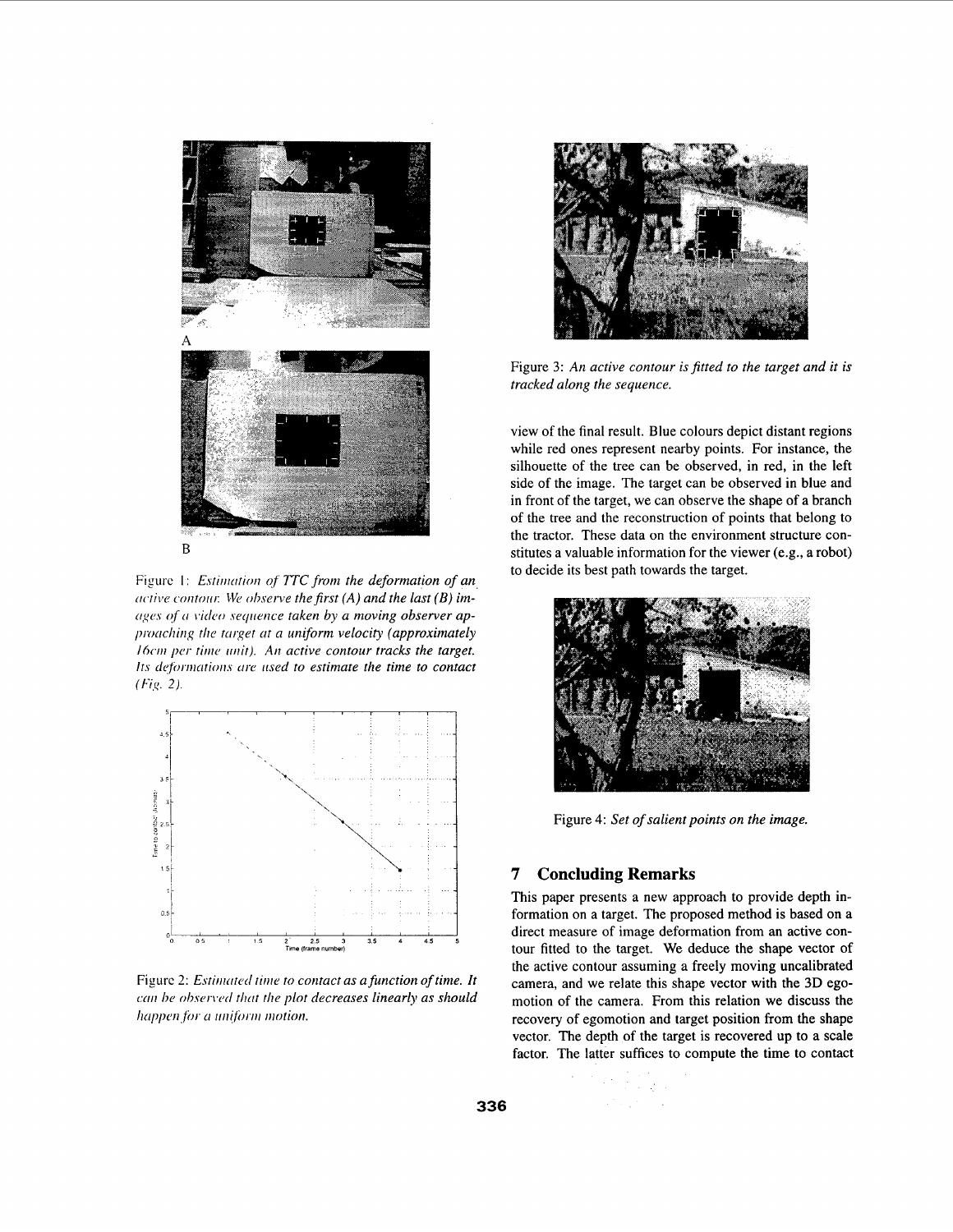

Figure 1: *Estimation of TTC from the deformation of an ractive contour. We observe the first (A) and the last (B) im***ogcs** *of ri iitlco seqrience taken by a moving observer ap*   $p$ roaching the target at a uniform velocity (approximately *16cm per time unit). An active contour tracks the target. Its deformations are used to estimate the time to contact (Fig. 2).* 



Figure 2: *Estimated time to contact as a function of time. It can be observed that the plot decreases linearly as should happen for a uniform motion.* 



Figure **3:** *An active contour is fitted to the target and it is tracked along the sequence.* 

view of the final result. Blue colours depict distant regions while red ones represent nearby points. For instance, the silhouette of the tree can be observed, in red, in the left side of the image. The target can be observed in blue and in front of the target, we can observe the shape of a branch of the tree and the reconstruction of points that belong to the tractor. These data on the environment structure constitutes a valuable information for the viewer (e.g., a robot) to decide its best path towards the target.



Figure 4: *Set of salient points on the image.* 

## **7 Concluding Remarks**

This paper presents a new approach to provide depth information on a target. The proposed method is based on a direct measure of image deformation from an active contour fitted to the target. We deduce the shape vector of the active contour assuming a freely moving uncalibrated camera, and we relate this shape vector with the **3D** egomotion of the camera. From this relation we discuss the recovery of egomotion and target position from the shape vector. The depth of the target is recovered up to a scale factor. The latter suffices to compute the time to contact

> $\mathbb{Z}^2 \times \mathbb{Z}^2$